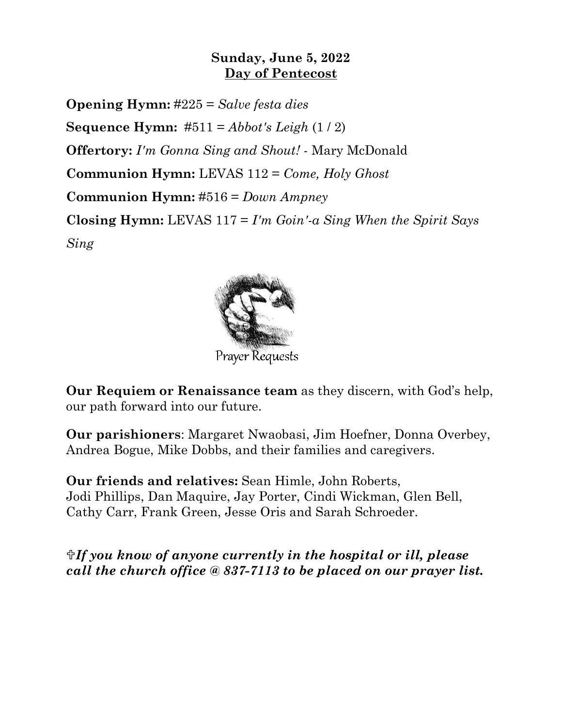## **Sunday, June 5, 2022 Day of Pentecost**

**Opening Hymn:** #225 = *Salve festa dies* **Sequence Hymn:** #511 = *Abbot's Leigh* (1 / 2) **Offertory:** *I'm Gonna Sing and Shout!* - Mary McDonald **Communion Hymn:** LEVAS 112 = *Come, Holy Ghost* **Communion Hymn:** #516 = *Down Ampney* **Closing Hymn:** LEVAS 117 = *I'm Goin'-a Sing When the Spirit Says Sing*



**Our Requiem or Renaissance team** as they discern, with God's help, our path forward into our future.

**Our parishioners**: Margaret Nwaobasi, Jim Hoefner, Donna Overbey, Andrea Bogue, Mike Dobbs, and their families and caregivers.

**Our friends and relatives:** Sean Himle, John Roberts, Jodi Phillips, Dan Maquire, Jay Porter, Cindi Wickman, Glen Bell, Cathy Carr, Frank Green, Jesse Oris and Sarah Schroeder.

*If you know of anyone currently in the hospital or ill, please call the church office @ 837-7113 to be placed on our prayer list.*